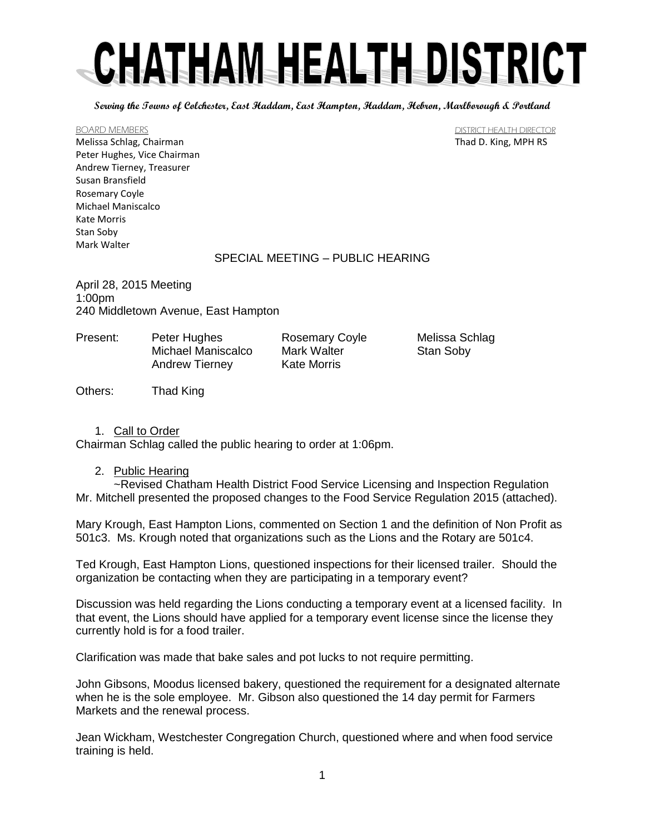**Serving the Towns of Colchester, East Haddam, East Hampton, Haddam, Hebron, Marlborough & Portland**

Melissa Schlag, Chairman Thad D. King, MPH RS Peter Hughes, Vice Chairman Andrew Tierney, Treasurer Susan Bransfield Rosemary Coyle Michael Maniscalco Kate Morris Stan Soby Mark Walter

BOARD MEMBERS **BOARD MEMBERS BOARD MEMBERS DISTRICT HEALTH DIRECTOR** 

### SPECIAL MEETING – PUBLIC HEARING

April 28, 2015 Meeting 1:00pm 240 Middletown Avenue, East Hampton

Present: Peter Hughes Rosemary Coyle Melissa Schlag Michael Maniscalco Mark Walter Stan Soby Andrew Tierney Kate Morris

Others: Thad King

# 1. Call to Order

Chairman Schlag called the public hearing to order at 1:06pm.

2. Public Hearing

~Revised Chatham Health District Food Service Licensing and Inspection Regulation Mr. Mitchell presented the proposed changes to the Food Service Regulation 2015 (attached).

Mary Krough, East Hampton Lions, commented on Section 1 and the definition of Non Profit as 501c3. Ms. Krough noted that organizations such as the Lions and the Rotary are 501c4.

Ted Krough, East Hampton Lions, questioned inspections for their licensed trailer. Should the organization be contacting when they are participating in a temporary event?

Discussion was held regarding the Lions conducting a temporary event at a licensed facility. In that event, the Lions should have applied for a temporary event license since the license they currently hold is for a food trailer.

Clarification was made that bake sales and pot lucks to not require permitting.

John Gibsons, Moodus licensed bakery, questioned the requirement for a designated alternate when he is the sole employee. Mr. Gibson also questioned the 14 day permit for Farmers Markets and the renewal process.

Jean Wickham, Westchester Congregation Church, questioned where and when food service training is held.